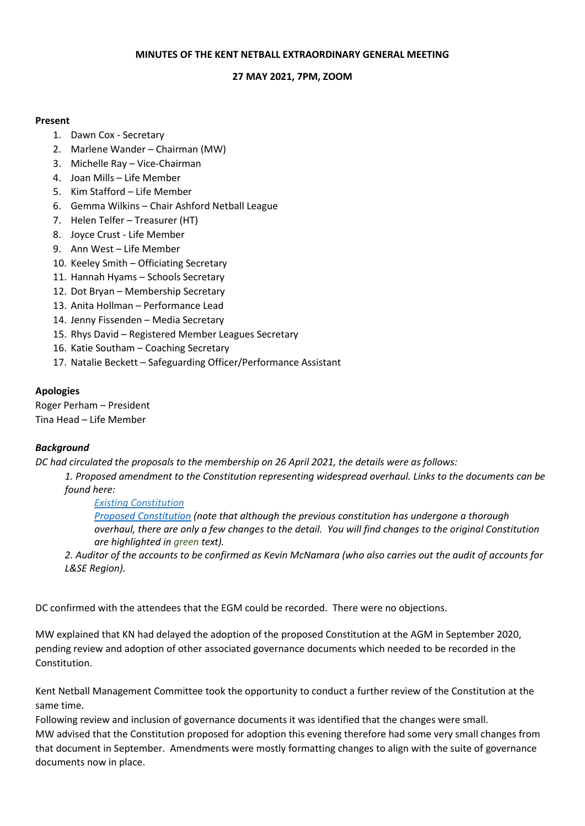### **MINUTES OF THE KENT NETBALL EXTRAORDINARY GENERAL MEETING**

## **27 MAY 2021, 7PM, ZOOM**

## **Present**

- 1. Dawn Cox Secretary
- 2. Marlene Wander Chairman (MW)
- 3. Michelle Ray Vice-Chairman
- 4. Joan Mills Life Member
- 5. Kim Stafford Life Member
- 6. Gemma Wilkins Chair Ashford Netball League
- 7. Helen Telfer Treasurer (HT)
- 8. Joyce Crust Life Member
- 9. Ann West Life Member
- 10. Keeley Smith Officiating Secretary
- 11. Hannah Hyams Schools Secretary
- 12. Dot Bryan Membership Secretary
- 13. Anita Hollman Performance Lead
- 14. Jenny Fissenden Media Secretary
- 15. Rhys David Registered Member Leagues Secretary
- 16. Katie Southam Coaching Secretary
- 17. Natalie Beckett Safeguarding Officer/Performance Assistant

# **Apologies**

Roger Perham – President Tina Head – Life Member

# *Background*

*DC had circulated the proposals to the membership on 26 April 2021, the details were as follows:*

*1. Proposed amendment to the Constitution representing widespread overhaul. Links to the documents can be found here:*

*Existing [Constitution](https://7e961d60-5ae2-47f9-9fa9-2337ac5f18e6.filesusr.com/ugd/57550a_2b90bf5c7a5e49c588ed0c8eb1f53097.pdf)*

*Proposed [Constitution](https://7e961d60-5ae2-47f9-9fa9-2337ac5f18e6.filesusr.com/ugd/57550a_43e527ab4d414faeb46e13ef3f102788.pdf) (note that although the previous constitution has undergone a thorough* overhaul, there are only a few changes to the detail. You will find changes to the original Constitution *are highlighted in green text).*

*2. Auditor of the accounts to be confirmed as Kevin McNamara (who also carries out the audit of accounts for L&SE Region).*

DC confirmed with the attendees that the EGM could be recorded. There were no objections.

MW explained that KN had delayed the adoption of the proposed Constitution at the AGM in September 2020, pending review and adoption of other associated governance documents which needed to be recorded in the Constitution.

Kent Netball Management Committee took the opportunity to conduct a further review of the Constitution at the same time.

Following review and inclusion of governance documents it was identified that the changes were small. MW advised that the Constitution proposed for adoption this evening therefore had some very small changes from that document in September. Amendments were mostly formatting changes to align with the suite of governance documents now in place.